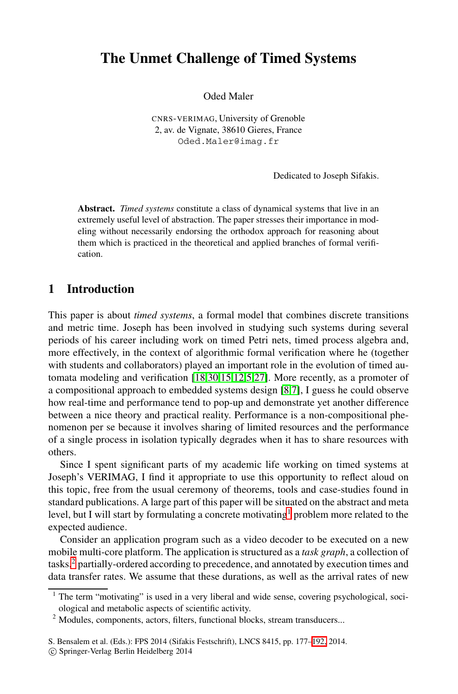# **The Unmet Challenge of Timed Systems**

Oded Maler

CNRS-VERIMAG, University of Grenoble 2, av. de Vignate, 38610 Gieres, France Oded.Maler@imag.fr

Dedicated to Joseph Sifakis.

**Abstract.** *Timed systems* constitute a class of dynamical systems that live in an extremely useful level of abstraction. The paper stresses their importance in modeling without necessarily endorsing the orthodox approach for reasoning about them which is practiced in the theoretical and applied branches of formal verification.

# **1 Introdu[ctio](#page-15-0)[n](#page-15-1)**

This paper is about *timed systems*, a formal model that combines discrete transitions and metric time. Joseph has been involved in studying such systems during several periods of his career including work on timed Petri nets, timed process algebra and, more effectively, in the context of algorithmic formal verification where he (together with students and collaborators) played an important role in the evolution of timed automata modeling and verification [18,30,15,12,5,27]. More recently, as a promoter of a compositional approach to embedded systems design [8,7], I guess he could observe how real-time and performance tend to pop-up and demonstrate yet another difference between a nice theory and practical [re](#page-0-0)ality. Performance is a non-compositional phenomenon per se because it involves sharing of limited resources and the performance of a single process in isolation typically degrades when it has to share resources with others.

<span id="page-0-0"></span>Since I spent significant parts of my academic life working on timed systems at Joseph's VERIMAG, I find it appropriate to use this opportunity to reflect aloud on this topic, free from the usual ceremony of theorems, tools and case-studies found in standard publications. A large part of this paper will be situated on the abstract and meta level, but I will start by formulating a concrete motivating<sup>1</sup> problem more related to the expected audience.

Consider an application program such as a video decoder to be executed on a new mobile multi-core platform. The application [is](#page-15-2) [st](#page-15-2)ructured as a *task graph*, a collection of tasks,<sup>2</sup> partially-ordered according to precedence, and annotated by execution times and data transfer rates. We assume that these durations, as well as the arrival rates of new

<sup>1</sup> The term "motivating" is used in a very liberal and wide sense, covering psychological, sociological and metabolic aspects of scientific activity.

<sup>&</sup>lt;sup>2</sup> Modules, components, actors, filters, functional blocks, stream transducers...

S. Bensalem et al. (Eds.): FPS 2014 (Sifakis Festschrift), LNCS 8415, pp. 177–192, 2014.

<sup>-</sup>c Springer-Verlag Berlin Heidelberg 2014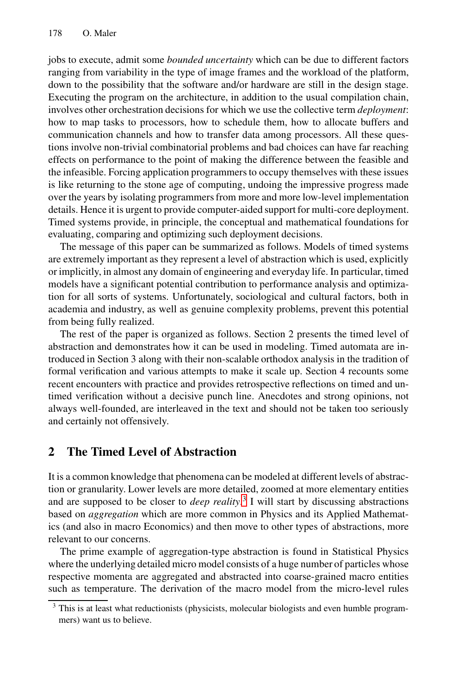jobs to execute, admit some *bounded uncertainty* which can be due to different factors ranging from variability in the type of image frames and the workload of the platform, down to the possibility that the software and/or hardware are still in the design stage. Executing the program on the architecture, in addition to the usual compilation chain, involves other orchestration decisions for which we use the collective term *deployment*: how to map tasks to processors, how to schedule them, how to allocate buffers and communication channels and how to transfer data among processors. All these questions involve non-trivial combinatorial problems and bad choices can have far reaching effects on performance to the point of making the difference between the feasible and the infeasible. Forcing application programmers to occupy themselves with these issues is like returning to the stone age of computing, undoing the impressive progress made over the years by isolating programmers from more and more low-level implementation details. Hence it is urgent to provide computer-aided support for multi-core deployment. Timed systems provide, in principle, the conceptual and mathematical foundations for evaluating, comparing and optimizing such deployment decisions.

The message of this paper can be summarized as follows. Models of timed systems are extremely important as they represent a level of abstraction which is used, explicitly or implicitly, in almost any domain of engineering and everyday life. In particular, timed models have a significant potential contribution to performance analysis and optimization for all sorts of systems. Unfortunately, sociological and cultural factors, both in academia and industry, as well as genuine complexity problems, prevent this potential from being fully realized.

The rest of the paper is organized as follows. Section 2 presents the timed level of abstraction and demonstrates how it can be used in modeling. Timed automata are introduced in Section 3 along with their non-scalable orthodox analysis in the tradition of formal verification and various attempts to make it scale up. Section 4 recounts some recent encounters with practice and provides retrospective reflections on timed and untimed verification without a decisive punch line. Anecdotes and strong opinions, not always well-founded, are i[nt](#page-1-0)erleaved in the text and should not be taken too seriously and certainly not offensively.

# <span id="page-1-0"></span>**2 The Timed Level of Abstraction**

It is a common knowledge that phenomena can be modeled at different levels of abstraction or granularity. Lower levels are more detailed, zoomed at more elementary entities and are supposed to be closer to *deep reality*. <sup>3</sup> I will start by discussing abstractions based on *aggregation* which are more common in Physics and its Applied Mathematics (and also in macro Economics) and then move to other types of abstractions, more relevant to our concerns.

The prime example of aggregation-type abstraction is found in Statistical Physics where the underlying detailed micro model consists of a huge number of particles whose respective momenta are aggregated and abstracted into coarse-grained macro entities such as temperature. The derivation of the macro model from the micro-level rules

 $3$  This is at least what reductionists (physicists, molecular biologists and even humble programmers) want us to believe.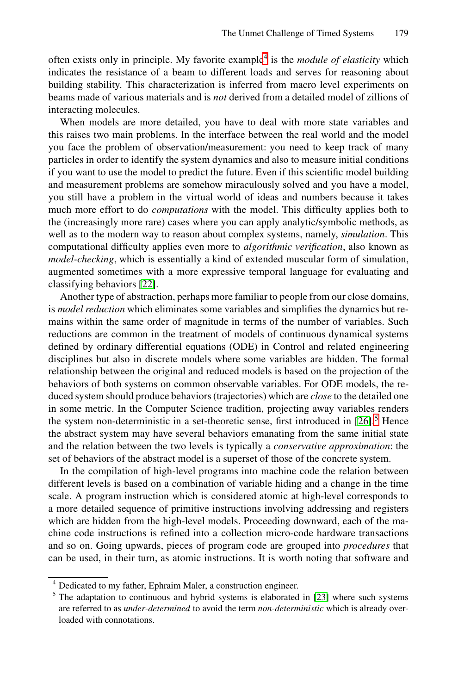often exists only in principle. My favorite example4 is the *module of elasticity* which indicates the resistance of a beam to different loads and serves for reasoning about building stability. This characterization is inferred from macro level experiments on beams made of various materials and is *not* derived from a detailed model of zillions of interacting molecules.

When models are more detailed, you have to deal with more state variables and this raises two main problems. In the interface between the real world and the model you face the problem of observation/measurement: you need to keep track of many particles in order to identify the system dynamics and also to measure initial conditions if you want to use the model to predict the future. Even if this scientific model building an[d m](#page-15-3)easurement problems are somehow miraculously solved and you have a model, you still have a problem in the virtual world of ideas and numbers because it takes much more effort to do *computations* with the model. This difficulty applies both to the (increasingly more rare) cases where you can apply analytic/symbolic methods, as well as to the modern way to reason about complex systems, namely, *simulation*. This computational difficulty applies even more to *algorithmic verification*, also known as *model-checking*, which is essentially a kind of extended muscular form of simulation, augmented sometimes with a more expressive temporal language for evaluating and classifying behaviors [22].

Another type of abstraction, perhaps more familiar to people from our close domains, is *model reduction* which eliminates some variables and simplifies the dynamics but remains within the same order of magnitude in terms o[f th](#page-15-4)[e n](#page-2-0)umber of variables. Such reductions are common in the treatment of models of continuous dynamical systems defined by ordinary differential equations (ODE) in Control and related engineering disciplines but also in discrete models where some variables are hidden. The formal relationship between the original and reduced models is based on the projection of the behaviors of both systems on common observable variables. For ODE models, the reduced system should produce behaviors (trajectories) which are *close* to the detailed one in some metric. In the Computer Science tradition, projecting away variables renders the system non-deterministic in a set-theoretic sense, first introduced in  $[26]$ <sup>5</sup> Hence the abstract system may have several behaviors emanating from the same initial state and the relation between the two levels is typically a *conservative approximation*: the set of behaviors of the abstract model is a superset of those of the concrete system.

<span id="page-2-0"></span>In the compilation of high-level programs into machine code the relation between different levels is based on a combination of variable hiding and a change in the time scale. A program instruction which is consi[der](#page-15-5)ed atomic at high-level corresponds to a more detailed sequence of primitive instructions involving addressing and registers which are hidden from the high-level models. Proceeding downward, each of the machine code instructions is refined into a collection micro-code hardware transactions and so on. Going upwards, pieces of program code are grouped into *procedures* that can be used, in their turn, as atomic instructions. It is worth noting that software and

<sup>4</sup> Dedicated to my father, Ephraim Maler, a construction engineer.

 $5$  The adaptation to continuous and hybrid systems is elaborated in [23] where such systems are referred to as *under-determined* to avoid the term *non-deterministic* which is already overloaded with connotations.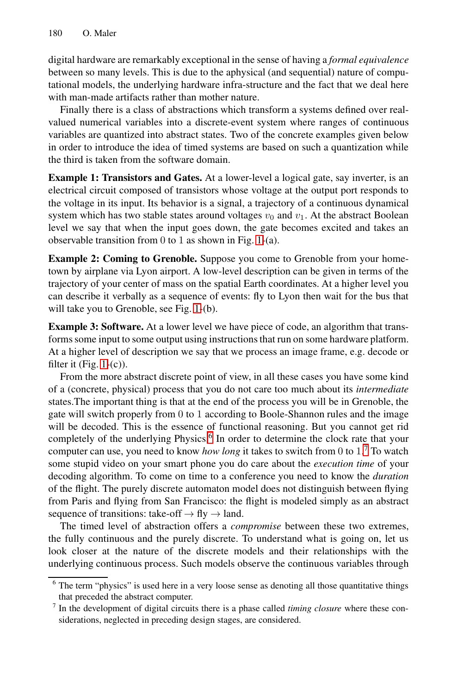digital hardware are remarkably exceptional in the sense of having a *formal equivalence* between so many levels. This is due to the aphysical (and sequential) nature of computational models, the underlying hardware infra-structure and the fact that we deal here with man-made artifacts rather than mother nature.

Finally there is a class of abstractions which transform a systems defined over realvalued numerical variables into a discrete-event system where ranges of continuous variables are quantized into abstract states. Two of the concrete examples given below in order to introduce the idea [of](#page-4-0) timed systems are based on such a quantization while the third is taken from the software domain.

**Example 1: Transistors and Gates.** At a lower-level a logical gate, say inverter, is an electrical circuit composed of transistors whose voltage at the output port responds to the voltage in its input. Its behavior is a signal, a trajectory of a continuous dynamical system which [has](#page-4-0) two stable states around voltages  $v_0$  and  $v_1$ . At the abstract Boolean level we say that when the input goes down, the gate becomes excited and takes an observable transition from 0 to 1 as shown in Fig. 1-(a).

**Example 2: Coming to Grenoble.** Suppose you come to Grenoble from your hometown by airplane via Lyon airport. A low-level description can be given in terms of the trajectory of your center of mass on the spatial Earth coordinates. At a higher level you can describe it verbally as a sequence of events: fly to Lyon then wait for the bus that will take you to Grenoble, see Fig. 1-(b).

**Example 3: Software.** At a lower level we have piece of code, an algorithm that transforms some input t[o](#page-3-0) some output using instructions that run on some hardware platform. At a higher level of description we say that we process [an](#page-3-1) image frame, e.g. decode or filter it (Fig.  $1-(c)$ ).

<span id="page-3-1"></span><span id="page-3-0"></span>From the more abstract discrete point of view, in all these cases you have some kind of a (concrete, physical) process that you do not care too much about its *intermediate* states.The important thing is that at the end of the process you will be in Grenoble, the gate will switch properly from 0 to 1 according to Boole-Shannon rules and the image will be decoded. This is the essence of functional reasoning. But you cannot get rid completely of the underlying Physics.<sup>6</sup> In order to determine the clock rate that your computer can use, you need to know *how long* it takes to switch from 0 to 1. <sup>7</sup> To watch some stupid video on your smart phone you do care about the *execution time* of your decoding algorithm. To come on time to a conference you need to know the *duration* of the flight. The purely discrete automaton model does not distinguish between flying from Paris and flying from San Francisco: the flight is modeled simply as an abstract sequence of transitions: take-off  $\rightarrow$  fly  $\rightarrow$  land.

The timed level of abstraction offers a *compromise* between these two extremes, the fully continuous and the purely discrete. To understand what is going on, let us look closer at the nature of the discrete models and their relationships with the underlying continuous process. Such models observe the continuous variables through

 $6$  The term "physics" is used here in a very loose sense as denoting all those quantitative things that preceded the abstract computer.

<sup>7</sup> In the development of digital circuits there is a phase called *timing closure* where these considerations, neglected in preceding design stages, are considered.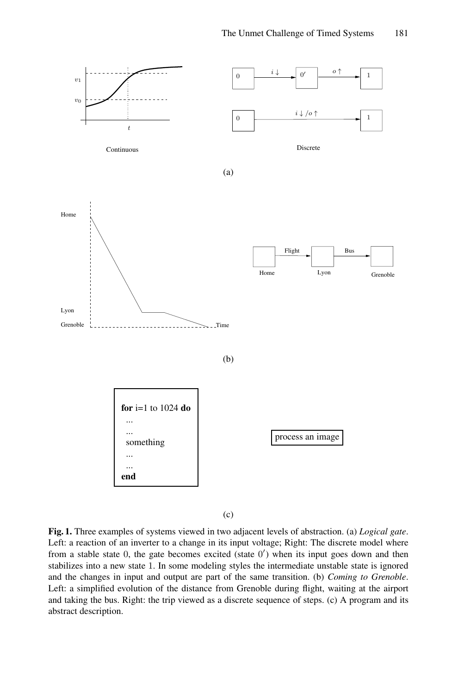

<span id="page-4-0"></span>(c)

**Fig. 1.** Three examples of systems viewed in two adjacent levels of abstraction. (a) *Logical gate*. Left: a reaction of an inverter to a change in its input voltage; Right: The discrete model where from a stable state 0, the gate becomes excited (state  $0'$ ) when its input goes down and then stabilizes into a new state 1. In some modeling styles the intermediate unstable state is ignored and the changes in input and output are part of the same transition. (b) *Coming to Grenoble*. Left: a simplified evolution of the distance from Grenoble during flight, waiting at the airport and taking the bus. Right: the trip viewed as a discrete sequence of steps. (c) A program and its abstract description.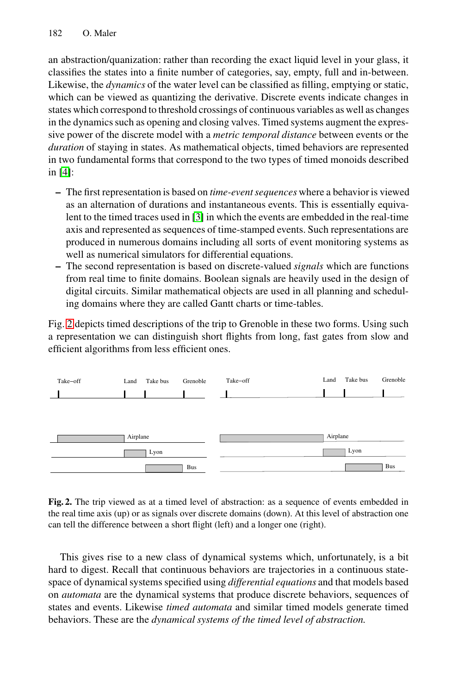an abstraction/quanization: rather than recording the exact liquid level in your glass, it classifies the states into a finite number of categories, say, empty, full and in-between. Likewise, the *dynamics* of the water level can be classified as filling, emptying or static, which can be viewed as quantizing the derivative. Discrete events indicate changes in states which correspond to threshold crossings of continuous variables as well as changes in the dynamics [su](#page-14-0)ch as opening and closing valves. Timed systems augment the expressive power of the discrete model with a *metric temporal distance* between events or the *duration* of staying in states. As mathematical objects, timed behaviors are represented in two fundamental forms that correspond to the two types of timed monoids described in [4]:

- **–** The first representation is based on *time-event sequences* where a behavior is viewed as an alternation of durations and instantaneous events. This is essentially equivalent to the timed traces used in [3] in which the events are embedded in the real-time axis and represented as sequences of time-stamped events. Such representations are produced in numerous domains including all sorts of event monitoring systems as well as numerical simulators for differential equations.
- **–** The second representation is based on discrete-valued *signals* which are functions from real time to finite domains. Boolean signals are heavily used in the design of digital circuits. Similar mathematical objects are used in all planning and scheduling domains where they are called Gantt charts or time-tables.

Fig. 2 depicts timed descriptions of the trip to Grenoble in these two forms. Using such a representation we can distinguish short flights from long, fast gates from slow and efficient algorithms from less efficient ones.



**Fig. 2.** The trip viewed as at a timed level of abstraction: as a sequence of events embedded in the real time axis (up) or as signals over discrete domains (down). At this level of abstraction one can tell the difference between a short flight (left) and a longer one (right).

This gives rise to a new class of dynamical systems which, unfortunately, is a bit hard to digest. Recall that continuous behaviors are trajectories in a continuous statespace of dynamical systems specified using *differential equations* and that models based on *automata* are the dynamical systems that produce discrete behaviors, sequences of states and events. Likewise *timed automata* and similar timed models generate timed behaviors. These are the *dynamical systems of the timed level of abstraction.*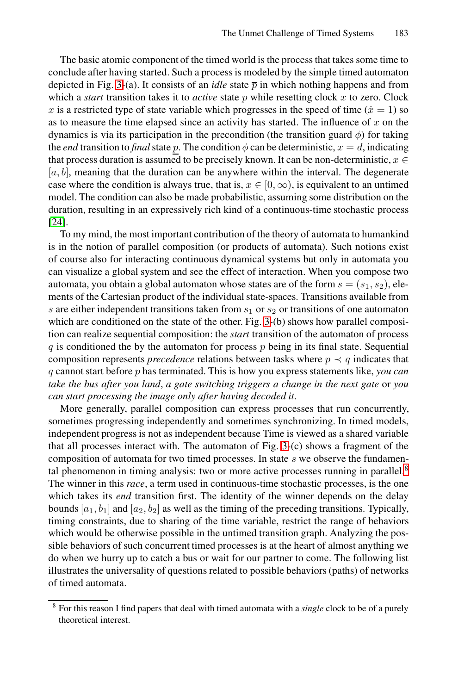The basic atomic component of the timed world is the process that takes some time to conclude after having started. Such a process is modeled by the simple timed automaton depicted in Fig. 3-(a). It consists of an *idle* state  $\bar{p}$  in which nothing happens and from which a *start* transition takes it to *active* state  $p$  while resetting clock  $x$  to zero. Clock x is a restricted type of state variable which progresses in the speed of time ( $\dot{x} = 1$ ) so as to measure the time elapsed since an activity has started. The influence of  $x$  on the dynamics is via its participation in the precondition (the transition guard  $\phi$ ) for taking the *end* transition to *final* state p. The condition  $\phi$  can be deterministic,  $x = d$ , indicating that process duration is assumed to be precisely known. It can be non-deterministic,  $x \in$  $[a, b]$ , meaning that the duration can be anywhere within the interval. The degenerate case where the condition is always true, that is,  $x \in [0, \infty)$ , is equivalent to an untimed model. The condition can also be made probabilistic, assuming some distribution on the duration, resulting in an expressively rich kind of a continuous-time stochastic process [24].

To my mind, the most import[ant](#page-7-0) contribution of the theory of automata to humankind is in the notion of parallel composition (or products of automata). Such notions exist of course also for interacting continuous dynamical systems but only in automata you can visualize a global system and see the effect of interaction. When you compose two automata, you obtain a global automaton whose states are of the form  $s = (s_1, s_2)$ , elements of the Cartesian product of the individual state-spaces. Transitions available from s are either independent transitions taken from  $s_1$  or  $s_2$  or transitions of one automaton which are conditioned on the state of the other. Fig. 3-(b) shows how parallel composition can realize sequential composition: the *start* transition of the automaton of process  $q$  is c[on](#page-7-0)ditioned the by the automaton for process  $p$  being in its final state. Sequential composition represents *precedence* relations between tasks where  $p \prec q$  indicates that q cannot start before p has terminated. This is how you express sta[te](#page-6-0)ments like, *you can take the bus after you land*, *a gate switching triggers a change in the next gate* or *you can start processing the image only after having decoded it*.

<span id="page-6-0"></span>More generally, parallel composition can express processes that run concurrently, sometimes progressing independently and sometimes synchronizing. In timed models, independent progress is not as independent because Time is viewed as a shared variable that all processes interact with. The automaton of Fig. 3-(c) shows a fragment of the composition of automata for two timed processes. In state s we observe the fundamental phenomenon in timing analysis: two or more active processes running in parallel. $8$ The winner in this *race*, a term used in continuous-time stochastic processes, is the one which takes its *end* transition first. The identity of the winner depends on the delay bounds  $[a_1, b_1]$  and  $[a_2, b_2]$  as well as the timing of the preceding transitions. Typically, timing constraints, due to sharing of the time variable, restrict the range of behaviors which would be otherwise possible in the untimed transition graph. Analyzing the possible behaviors of such concurrent timed processes is at the heart of almost anything we do when we hurry up to catch a bus or wait for our partner to come. The following list illustrates the universality of questions related to possible behaviors (paths) of networks of timed automata.

<sup>8</sup> For this reason I find papers that deal with timed automata with a *single* clock to be of a purely theoretical interest.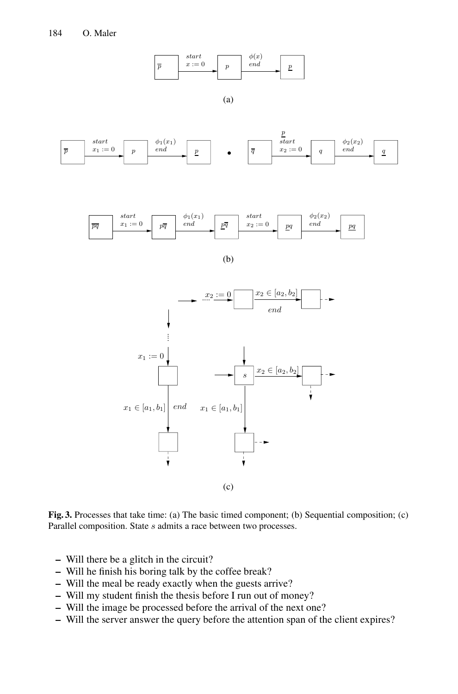

(a)





(b)



<span id="page-7-0"></span>**Fig. 3.** Processes that take time: (a) The basic timed component; (b) Sequential composition; (c) Parallel composition. State *s* admits a race between two processes.

- **–** Will there be a glitch in the circuit?
- **–** Will he finish his boring talk by the coffee break?
- **–** Will the meal be ready exactly when the guests arrive?
- **–** Will my student finish the thesis before I run out of money?
- **–** Will the image be processed before the arrival of the next one?
- **–** Will the server answer the query before the attention span of the client expires?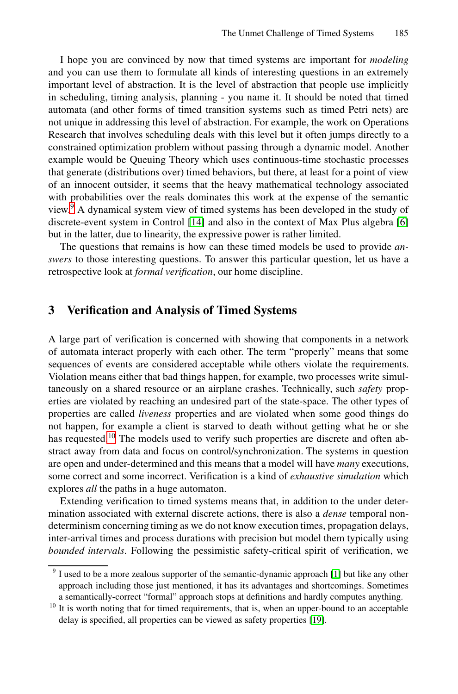I hope you are convinced by now that timed systems are important for *modeling* and you can use them to formulate all kinds of interesting questions in an extremely important level of abstraction. It is the level of abstraction that people use implicitly in scheduling, timing analysis, planning - you name it. It should be noted that timed automata (and other forms of timed transition systems such as timed Petri nets) are not unique in [addr](#page-15-6)essing this level of abstraction. For example, t[he](#page-15-7) work on Operations Research that involves scheduling deals with this level but it often jumps directly to a constrained optimization problem without passing through a dynamic model. Another example would be Queuing Theory which uses continuous-time stochastic processes that generate (distributions over) timed behaviors, but there, at least for a point of view of an innocent outsider, it seems that the heavy mathematical technology associated with probabilities over the reals dominates this work at the expense of the semantic view.<sup>9</sup> A dynamical system view of timed systems has been developed in the study of discrete-event system in Control [14] and also in the context of Max Plus algebra [6] but in the latter, due to linearity, the expressive power is rather limited.

The questions that remains is how can these timed models be used to provide *answers* to those interesting questions. To answer this particular question, let us have a retrospective look at *formal verification*, our home discipline.

### **3 Verification and Analysis of Timed Systems**

A large part of verification is concerned with showing that components in a network of automata interact properly with each other. The term "properly" means that some sequences of events are considered acceptable while others violate the requirements. Violation means either that bad things happen, for example, two processes write simultaneously on a shared resource or an airplane crashes. Technically, such *safety* properties are violated by reaching an undesired part of the state-space. The other types of properties are called *liveness* properties and are violated when some good things do not happen, for example a client is starved to death without getting what he or she has requested.<sup>10</sup> The models used to verify such properties are discrete and often abstract away from data and focus on control/synchronization. The systems in question are open and under-determined and this means that a model will have *many* executions, some correct and some incorrect. Verification is [a k](#page-14-1)ind of *exhaustive simulation* which explores *all* the paths in a huge automaton.

Extending verification to timed systems means that, in addition to the under determination associated with external discrete actions, there is also a *dense* temporal nondeterminism concerning timing as we do no[t kn](#page-15-8)ow execution times, propagation delays, inter-arrival times and process durations with precision but model them typically using *bounded intervals*. Following the pessimistic safety-critical spirit of verification, we

<sup>&</sup>lt;sup>9</sup> I used to be a more zealous supporter of the semantic-dynamic approach [1] but like any other approach including those just mentioned, it has its advantages and shortcomings. Sometimes a semantically-correct "formal" approach stops at definitions and hardly computes anything.

<sup>&</sup>lt;sup>10</sup> It is worth noting that for timed requirements, that is, when an upper-bound to an acceptable delay is specified, all properties can be viewed as safety properties [19].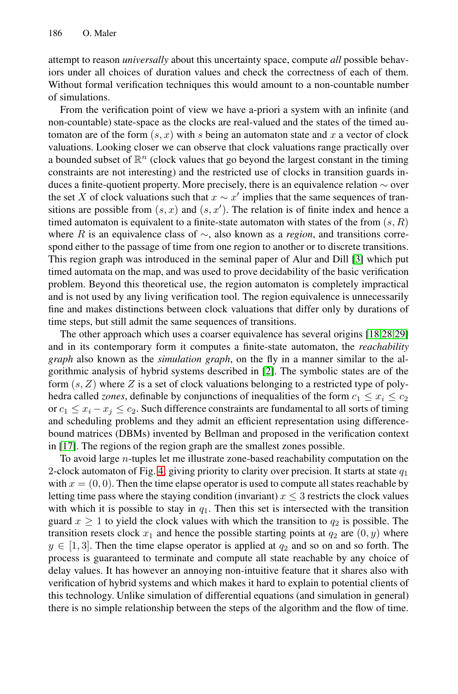attempt to reason *universally* about this uncertainty space, compute *all* possible behaviors under all choices of duration values and check the correctness of each of them. Without formal verification techniques this would amount to a non-countable number of simulations.

From the verification point of view we have a-priori a system with an infinite (and non-countable) state-space as the clocks are real-valued and the states of the timed automaton are of the form  $(s, x)$  with s being an automaton state and x a vector of clock valuations. Looking closer we can observe that clock valuations range practically over a bounded subset of R*<sup>n</sup>* (clock values that go beyond [th](#page-14-0)e largest constant in the timing constraints are not interesting) and the restricted use of clocks in transition guards induces a finite-quotient property. More precisely, there is an equivalence relation ∼ over the set X of clock valuations such that  $x \sim x'$  implies that the same sequences of transitions are possible from  $(s, x)$  and  $(s, x')$ . The relation is of finite index and hence a timed automaton is equivalent to a finite-state automaton with states of the from  $(s, R)$ where <sup>R</sup> is an equivalence class of <sup>∼</sup>, also known as a *[reg](#page-15-0)[ion](#page-15-9)*[, an](#page-15-10)d transitions correspond either to the passage of time from one region to another or to discrete transitions. This region graph was introduced in the seminal paper of Alur and Dill [3] which put timed automata on the map, and [w](#page-14-2)as used to prove decidability of the basic verification problem. Beyond this theoretical use, the region automaton is completely impractical and is not used by any living verification tool. The region equivalence is unnecessarily fine and makes distinctions between clock valuations that differ only by durations of time steps, but still admit the same sequences of transitions.

The other approach which uses a coarser equivalence has several origins [18,28,29] and in its contemporary form it computes a finite-state automaton, the *reachability graph* also known as the *simulation graph*, on the fly in a manner similar to the algorith[mi](#page-10-0)c analysis of hybrid systems described in [2]. The symbolic states are of the form  $(s, Z)$  where Z is a set of clock valuations belonging to a restricted type of polyhedra called *zones*, definable by conjunctions of inequalities of the form  $c_1 \leq x_i \leq c_2$ or  $c_1 \leq x_i - x_j \leq c_2$ . Such difference constraints are fundamental to all sorts of timing and scheduling problems and they admit an efficient representation using differencebound matrices (DBMs) invented by Bellman and proposed in the verification context in [17]. The regions of the region graph are the smallest zones possible.

To avoid large  $n$ -tuples let me illustrate zone-based reachability computation on the 2-clock automaton of Fig. 4, giving priority to clarity over precision. It starts at state  $q_1$ with  $x = (0, 0)$ . Then the time elapse operator is used to compute all states reachable by letting time pass where the staying condition (invariant)  $x \leq 3$  restricts the clock values with which it is possible to stay in  $q_1$ . Then this set is intersected with the transition guard  $x \ge 1$  to yield the clock values with which the transition to  $q_2$  is possible. The transition resets clock  $x_1$  and hence the possible starting points at  $q_2$  are  $(0, y)$  where  $y \in [1, 3]$ . Then the time elapse operator is applied at  $q_2$  and so on and so forth. The process is guaranteed to terminate and compute all state reachable by any choice of delay values. It has however an annoying non-intuitive feature that it shares also with verification of hybrid systems and which makes it hard to explain to potential clients of this technology. Unlike simulation of differential equations (and simulation in general) there is no simple relationship between the steps of the algorithm and the flow of time.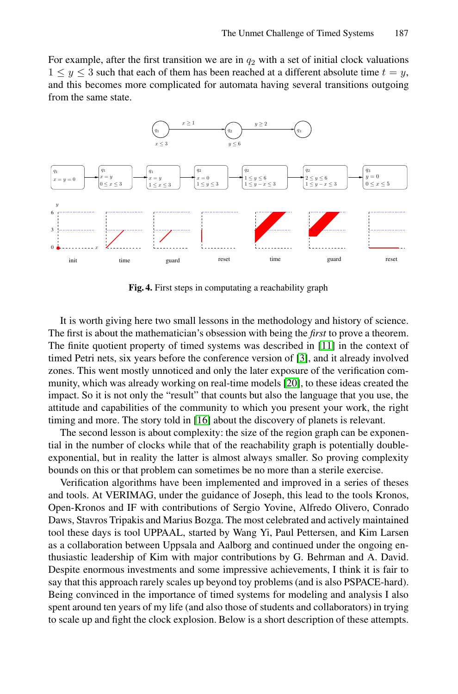<span id="page-10-0"></span>For example, after the first transition we are in  $q_2$  with a set of initial clock valuations  $1 \leq y \leq 3$  such that each of them has been reached at a different absolute time  $t = y$ , and this becomes more complicated for automata having several transitions outgoing from the same state.



**Fig. 4.** First steps in [com](#page-15-11)putating a reachability graph

It is worth gi[ving](#page-15-12) here two small lessons in the methodology and history of science. The first is about the mathematician's obsession with being the *first* to prove a theorem. The finite quotient property of timed systems was described in [11] in the context of timed Petri nets, six years before the conference version of [3], and it already involved zones. This went mostly unnoticed and only the later exposure of the verification community, which was already working on real-time models [20], to these ideas created the impact. So it is not only the "result" that counts but also the language that you use, the attitude and capabilities of the community to which you present your work, the right timing and more. The story told in [16] about the discovery of planets is relevant.

The second lesson is about complexity: the size of the region graph can be exponential in the number of clocks while that of the reachability graph is potentially doubleexponential, but in reality the latter is almost always smaller. So proving complexity bounds on this or that problem can sometimes be no more than a sterile exercise.

Verification algorithms have been implemented and improved in a series of theses and tools. At VERIMAG, under the guidance of Joseph, this lead to the tools Kronos, Open-Kronos and IF with contributions of Sergio Yovine, Alfredo Olivero, Conrado Daws, Stavros Tripakis and Marius Bozga. The most celebrated and actively maintained tool these days is tool UPPAAL, started by Wang Yi, Paul Pettersen, and Kim Larsen as a collaboration between Uppsala and Aalborg and continued under the ongoing enthusiastic leadership of Kim with major contributions by G. Behrman and A. David. Despite enormous investments and some impressive achievements, I think it is fair to say that this approach rarely scales up beyond toy problems (and is also PSPACE-hard). Being convinced in the importance of timed systems for modeling and analysis I also spent around ten years of my life (and also those of students and collaborators) in trying to scale up and fight the clock explosion. Below is a short description of these attempts.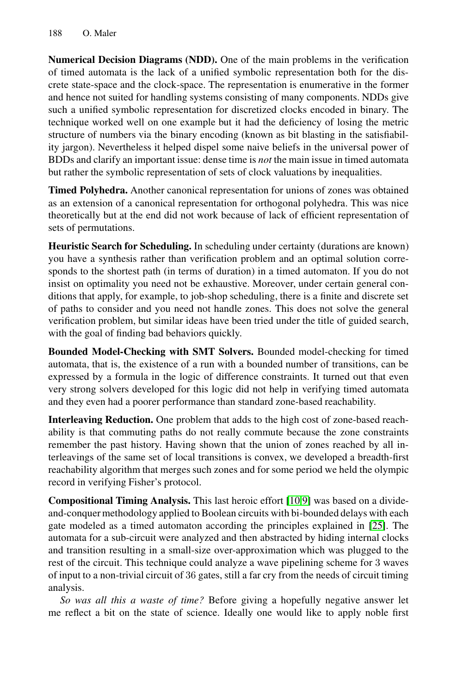**Numerical Decision Diagrams (NDD).** One of the main problems in the verification of timed automata is the lack of a unified symbolic representation both for the discrete state-space and the clock-space. The representation is enumerative in the former and hence not suited for handling systems consisting of many components. NDDs give such a unified symbolic representation for discretized clocks encoded in binary. The technique worked well on one example but it had the deficiency of losing the metric structure of numbers via the binary encoding (known as bit blasting in the satisfiability jargon). Nevertheless it helped dispel some naive beliefs in the universal power of BDDs and clarify an important issue: dense time is *not* the main issue in timed automata but rather the symbolic representation of sets of clock valuations by inequalities.

**Timed Polyhedra.** Another canonical representation for unions of zones was obtained as an extension of a canonical representation for orthogonal polyhedra. This was nice theoretically but at the end did not work because of lack of efficient representation of sets of permutations.

**Heuristic Search for Scheduling.** In scheduling under certainty (durations are known) you have a synthesis rather than verification problem and an optimal solution corresponds to the shortest path (in terms of duration) in a timed automaton. If you do not insist on optimality you need not be exhaustive. Moreover, under certain general conditions that apply, for example, to job-shop scheduling, there is a finite and discrete set of paths to consider and you need not handle zones. This does not solve the general verification problem, but similar ideas have been tried under the title of guided search, with the goal of finding bad behaviors quickly.

**Bounded Model-Checking with SMT Solvers.** Bounded model-checking for timed automata, that is, the existence of a run with a bounded number of transitions, can be expressed by a formula in the logic of difference constraints. It turned out that even very strong solvers developed for this logic did not help in verifying timed automata and they even had a poorer performan[ce t](#page-15-13)[ha](#page-15-14)n standard zone-based reachability.

**Interleaving Reduction.** One problem that adds to the high cost of zone-based reachability is that commuting paths do not really commute [beca](#page-15-15)use the zone constraints remember the past history. Having shown that the union of zones reached by all interleavings of the same set of local transitions is convex, we developed a breadth-first reachability algorithm that merges such zones and for some period we held the olympic record in verifying Fisher's protocol.

**Compositional Timing Analysis.** This last heroic effort [10,9] was based on a divideand-conquer methodology applied to Boolean circuits with bi-bounded delays with each gate modeled as a timed automaton according the principles explained in [25]. The automata for a sub-circuit were analyzed and then abstracted by hiding internal clocks and transition resulting in a small-size over-approximation which was plugged to the rest of the circuit. This technique could analyze a wave pipelining scheme for 3 waves of input to a non-trivial circuit of 36 gates, still a far cry from the needs of circuit timing analysis.

*So was all this a waste of time?* Before giving a hopefully negative answer let me reflect a bit on the state of science. Ideally one would like to apply noble first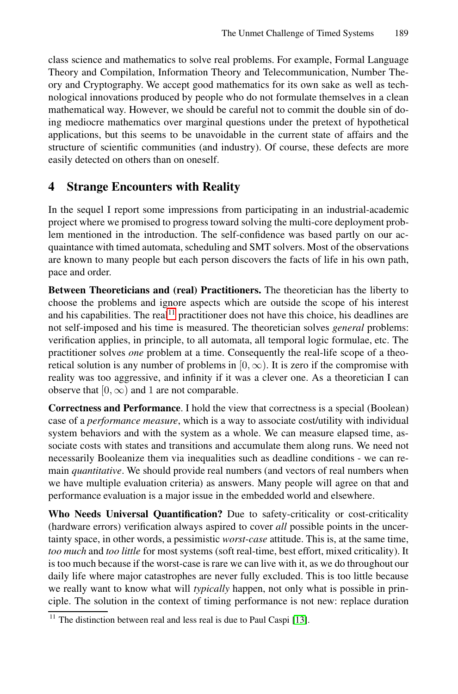class science and mathematics to solve real problems. For example, Formal Language Theory and Compilation, Information Theory and Telecommunication, Number Theory and Cryptography. We accept good mathematics for its own sake as well as technological innovations produced by people who do not formulate themselves in a clean mathematical way. However, we should be careful not to commit the double sin of doing mediocre mathematics over marginal questions under the pretext of hypothetical applications, but this seems to be unavoidable in the current state of affairs and the structure of scientific communities (and industry). Of course, these defects are more easily detected on others than on oneself.

### **4 Strange Encounters with Reality**

In the sequel I report some impressions from participating in an industrial-academic project [whe](#page-12-0)re we promised to progress toward solving the multi-core deployment problem mentioned in the introduction. The self-confidence was based partly on our acquaintance with timed automata, scheduling and SMT solvers. Most of the observations are known to many people but each person discovers the facts of life in his own path, pace and order.

**Between Theoreticians and (real) Practitioners.** The theoretician has the liberty to choose the problems and ignore aspects which are outside the scope of his interest and his capabilities. The real<sup>11</sup> practitioner does not have this choice, his deadlines are not self-imposed and his time is measured. The theoretician solves *general* problems: verification applies, in principle, to all automata, all temporal logic formulae, etc. The practitioner solves *one* problem at a time. Consequently the real-life scope of a theoretical solution is any number of problems in  $[0, \infty)$ . It is zero if the compromise with reality was too aggressive, and infinity if it was a clever one. As a theoretician I can observe that  $[0, \infty)$  and 1 are not comparable.

<span id="page-12-0"></span>**Correctness and Performance**. I hold the view that correctness is a special (Boolean) case of a *performance measure*, which is a way to associate cost/utility with individual system behaviors and with the system as a whole. We can measure elapsed time, associate costs with states and transitions and accumulate them along runs. We need not necessarily Booleanize them via inequalities such as deadline conditions - we can remain *quantitative*. We should provide real numbers (and vectors of real numbers when we have multiple evaluation criteria) as answers. Many people will agree on that and performance evaluation is a major issue in the embedded world and elsewhere.

**Who Needs Universal Quantification?** Due to safety-criticality or cost-criticality (hardware errors) verification always a[spir](#page-15-16)ed to cover *all* possible points in the uncertainty space, in other words, a pessimistic *worst-case* attitude. This is, at the same time, *too much* and *too little* for most systems (soft real-time, best effort, mixed criticality). It is too much because if the worst-case is rare we can live with it, as we do throughout our daily life where major catastrophes are never fully excluded. This is too little because we really want to know what will *typically* happen, not only what is possible in principle. The solution in the context of timing performance is not new: replace duration

 $\frac{11}{11}$  The distinction between real and less real is due to Paul Caspi [13].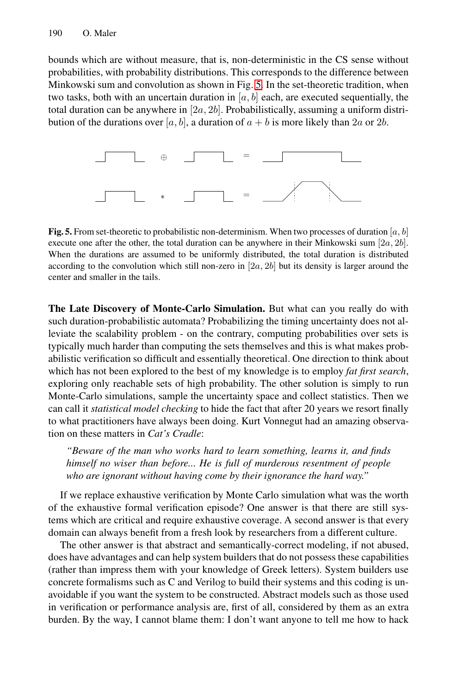bounds which are without measure, that is, non-deterministic in the CS sense without probabilities, with probability distributions. This corresponds to the difference between Minkowski sum and convolution as shown in Fig. 5. In the set-theoretic tradition, when two tasks, both with an uncertain duration in  $[a, b]$  each, are executed sequentially, the total duration can be anywhere in  $[2a, 2b]$ . Probabilistically, assuming a uniform distribution of the durations over [a, b], a duration of  $a + b$  is more likely than  $2a$  or  $2b$ .



**Fig. 5.** From set-theoretic to probabilistic non-determinism. When two processes of duration [*a, b*] execute one after the other, the total duration can be anywhere in their Minkowski sum [2*a,* 2*b*]. When the durations are assumed to be uniformly distributed, the total duration is distributed according to the convolution which still non-zero in [2*a,* 2*b*] but its density is larger around the center and smaller in the tails.

**The Late Discovery of Monte-Carlo Simulation.** But what can you really do with such duration-probabilistic automata? Probabilizing the timing uncertainty does not alleviate the scalability problem - on the contrary, computing probabilities over sets is typically much harder than computing the sets themselves and this is what makes probabilistic verification so difficult and essentially theoretical. One direction to think about which has not been explored to the best of my knowledge is to employ *fat first search*, exploring only reachable sets of high probability. The other solution is simply to run Monte-Carlo simulations, sample the uncertainty space and collect statistics. Then we can call it *statistical model checking* to hide the fact that after 20 years we resort finally to what practitioners have always been doing. Kurt Vonnegut had an amazing observation on these matters in *Cat's Cradle*:

*"Beware of the man who works hard to learn something, learns it, and finds himself no wiser than before... He is full of murderous resentment of people who are ignorant without having come by their ignorance the hard way."*

If we replace exhaustive verification by Monte Carlo simulation what was the worth of the exhaustive formal verification episode? One answer is that there are still systems which are critical and require exhaustive coverage. A second answer is that every domain can always benefit from a fresh look by researchers from a different culture.

The other answer is that abstract and semantically-correct modeling, if not abused, does have advantages and can help system builders that do not possess these capabilities (rather than impress them with your knowledge of Greek letters). System builders use concrete formalisms such as C and Verilog to build their systems and this coding is unavoidable if you want the system to be constructed. Abstract models such as those used in verification or performance analysis are, first of all, considered by them as an extra burden. By the way, I cannot blame them: I don't want anyone to tell me how to hack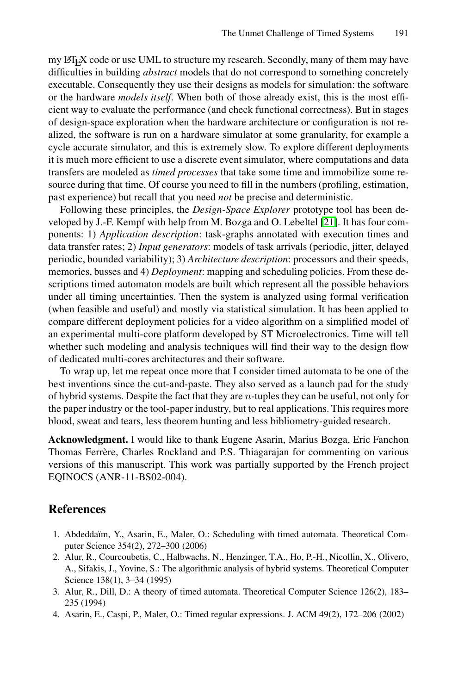my LATEX code or use UML to structure my research. Secondly, many of them may have difficulties in building *abstract* models that do not correspond to something concretely executable. Consequently they use their designs as models for simulation: the software or the hardware *models itself*. When both of those already exist, this is the most efficient way to evaluate the performance (and check functional correctness). But in stages of design-space exploration when the hardwar[e ar](#page-15-17)chitecture or configuration is not realized, the software is run on a hardware simulator at some granularity, for example a cycle accurate simulator, and this is extremely slow. To explore different deployments it is much more efficient to use a discrete event simulator, where computations and data transfers are modeled as *timed processes* that take some time and immobilize some resource during that time. Of course you need to fill in the numbers (profiling, estimation, past experience) but recall that you need *not* be precise and deterministic.

Following these principles, the *Design-Space Explorer* prototype tool has been developed by J.-F. Kempf with help from M. Bozga and O. Lebeltel [21]. It has four components: 1) *Application description*: task-graphs annotated with execution times and data transfer rates; 2) *Input generators*: models of task arrivals (periodic, jitter, delayed periodic, bounded variability); 3) *Architecture description*: processors and their speeds, memories, busses and 4) *Deployment*: mapping and scheduling policies. From these descriptions timed automaton models are built which represent all the possible behaviors under all timing uncertainties. Then the system is analyzed using formal verification (when feasible and useful) and mostly via statistical simulation. It has been applied to compare different deployment policies for a video algorithm on a simplified model of an experimental multi-core platform developed by ST Microelectronics. Time will tell whether such modeling and analysis techniques will find their way to the design flow of dedicated multi-cores architectures and their software.

<span id="page-14-2"></span><span id="page-14-1"></span><span id="page-14-0"></span>To wrap up, let me repeat once more that I consider timed automata to be one of the best inventions since the cut-and-paste. They also served as a launch pad for the study of hybrid systems. Despite the fact that they are  $n$ -tuples they can be useful, not only for the paper industry or the tool-paper industry, but to real applications. This requires more blood, sweat and tears, less theorem hunting and less bibliometry-guided research.

**Acknowledgment.** I would like to thank Eugene Asarin, Marius Bozga, Eric Fanchon Thomas Ferrère, Charles Rockland and P.S. Thiagarajan for commenting on various versions of this manuscript. This work was partially supported by the French project EQINOCS (ANR-11-BS02-004).

### **References**

- 1. Abdedda¨ım, Y., Asarin, E., Maler, O.: Scheduling with timed automata. Theoretical Computer Science 354(2), 272–300 (2006)
- 2. Alur, R., Courcoubetis, C., Halbwachs, N., Henzinger, T.A., Ho, P.-H., Nicollin, X., Olivero, A., Sifakis, J., Yovine, S.: The algorithmic analysis of hybrid systems. Theoretical Computer Science 138(1), 3–34 (1995)
- 3. Alur, R., Dill, D.: A theory of timed automata. Theoretical Computer Science 126(2), 183– 235 (1994)
- 4. Asarin, E., Caspi, P., Maler, O.: Timed regular expressions. J. ACM 49(2), 172–206 (2002)